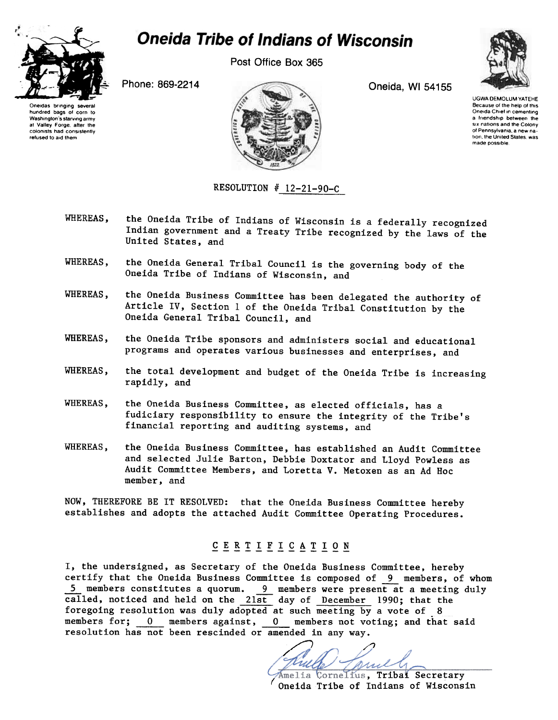

# **Oneida Tribe of Indians of Wisconsin**

Post Office Box 365



Oneidas bringing several hundred bags of corn to Washington's starving army at Valley Forge, after the colonists had consistently refused to aid them

Phone: 869-2214 Oneida, WI 54155



## RESOLUTION  $# 12-21-90-C$

UGWA DEMOLUM YATEHE Because of the help of this Oneida Chief in cementing a friendship between the SIX nations and the Colony of Pennsylvania, a new nation, the United States, was made possible

- WHEREAS, the Oneida Tribe of Indians of Wisconsin is a federally recognized Indian government and a Treaty Tribe recognized by the laws of the United States, and
- WHEREAS, the Oneida General Tribal Council is the governing body of the Oneida Tribe of Indians of Wisconsin, and
- WHEREAS, the Oneida Business Committee has been delegated the authority of Article IV, Section 1 of the Oneida Tribal Constitution by the Oneida General Tribal Council, and
- WHEREAS, the Oneida Tribe sponsors and administers social and educational programs and operates various businesses and enterprises, and
- WHEREAS, the total development and budget of the Oneida Tribe is increasing rapidly, and
- WHEREAS, the Oneida Business Committee, as elected officials, has a fudiciary responsibility to ensure the integrity of the Tribe's financial reporting and auditing systems, and
- WHEREAS, the Oneida Business Committee, has established an Audit Committee and selected Julie Barton, Debbie Doxtator and Lloyd Powless as Audit Committee Members, and Loretta V. Metoxen as an Ad Hoc member, and

THEREFORE BE IT RESOLVED: that the Oneida Business Committee hereby establishes and adopts the attached Audit Committee Operating Procedures.

## CERTIFICATION

I, the undersigned, as Secretary of the Oneida Business Committee, hereby certify that the Oneida Business Committee is composed of 9 members, of whom 5 members constitutes a quorum. 9 members were present at a meeting duly called, noticed and held on the 21st day of December 1990; that the foregoing resolution was duly adopted at such meeting by a vote of 8 members for; 0 members against, 0 members not voting; and that said resolution has not been rescinded or amended in any way.

 $/$   $/$   $/$ mul Amelia Cornelius, Tribal Secretary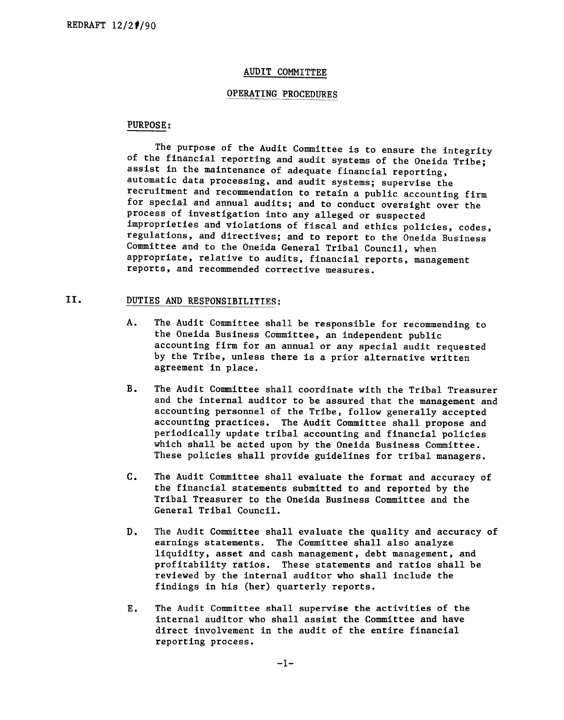### AUDIT COMMITTEE

### OPERATING PROCEDURES

## PURPOSE:

The purpose of the Audit Committee is to ensure the integrity of the financial reporting and audit systems of the Oneida Tribe; assist in the maintenance of adequate financial reporting, automatic data processing, and audit systems; supervise the recruitment and recommendation to retain a public accounting firm for special and annual audits; and to conduct oversight over the process of investigation into any alleged or suspected improprieties and violations of fiscal and ethics policies, codes, regulations, and directives; and to report to the Oneida Business Committee and to the Oneida General Tribal Council, when appropriate, relative to audits, financial reports, management reports, and recommended corrective measures.

#### II. DUTIES AND RESPONSIBILITIES:

- $A$ . The Audit Committee shall be responsible for recommending to the Oneida Business Committee, an independent public accounting firm for an annual or any special audit requested by the Tribe, unless there is a prior alternative written agreement in place.
- B. The Audit Committee shall coordinate with the Tribal Treasurer and the internal auditor to be assured that the management and accounting personnel of the Tribe, follow generally accepted accounting practices. The Audit Committee shall propose and periodically update tribal accounting and financial policies which shall be acted upon by the Oneida Business Committee. These policies shall provide guidelines for tribal managers.
- c. The Audit Committee shall evaluate the format and accuracy of the financial statements submitted to and reported by the Tribal Treasurer to the Oneida Business Committee and the General Tribal Council.
- $D.$ The Audit Committee shall evaluate the quality and accuracy of earnings statements. The Committee shall also analyze liquidity, asset and cash management, debt management, and profitability ratios. These statements and ratios shall be reviewed by the internal auditor who shall include the findings in his (her) quarterly reports.
- The Audit Committee shall supervise the activities of the Ε. internal auditor who shall assist the Committee and have direct involvement in the audit of the entire financial reporting process.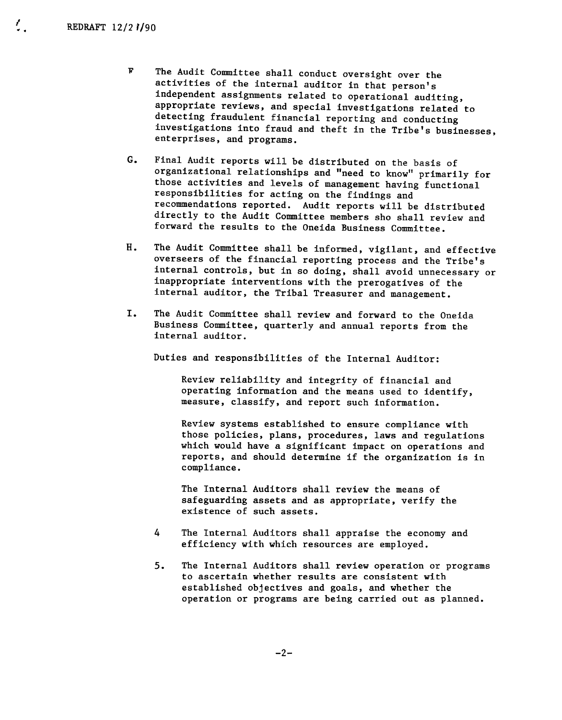$\mathcal{I}_{\mathbf{z}}$ 

- F The Audit Committee shall conduct oversight over the activities of the internal auditor in that person's independent assignments related to operational auditing, appropriate reviews, and special investigations related to detecting fraudulent financial reporting and conducting investigations into fraud and theft in the Tribe's businesses, enterprises, and programs.
- G. Final Audit reports will be distributed on the basis of organizational relationships and "need to know" primarily for those activities and levels of management having functional responsibilities for acting on the findings and recommendations reported. Audit reports will be distributed directly to the Audit Committee members sho shall review and forward the results to the Oneida Business Committee.
- H. The Audit Committee shall be informed, vigilant, and effective overseers of the financial reporting process and the Tribe's internal controls, but in so doing, shall avoid unnecessary or inappropriate interventions with the prerogatives of the internal auditor, the Tribal Treasurer and management.
- I. The Audit Committee shall review and forward to the Oneida Business Committee, quarterly and annual reports from the internal auditor.

Duties and responsibilities of the Internal Auditor:

Review reliability and integrity of financial and operating information and the means used to identify, measure, classify, and report such information.

Review systems established to ensure compliance with those policies, plans, procedures, laws and regulations which would have a significant impact on operations and reports, and should determine if the organization is in compliance.

The Internal Auditors shall review the means of safeguarding assets and as appropriate, verify the existence of such assets.

- 4 The Internal Auditors shall appraise the economy and efficiency with which resources are employed.
- $5.$ The Internal Auditors shall review operation or programs to ascertain whether results are consistent with established objectives and goals, and whether the operation or programs are being carried out as planned.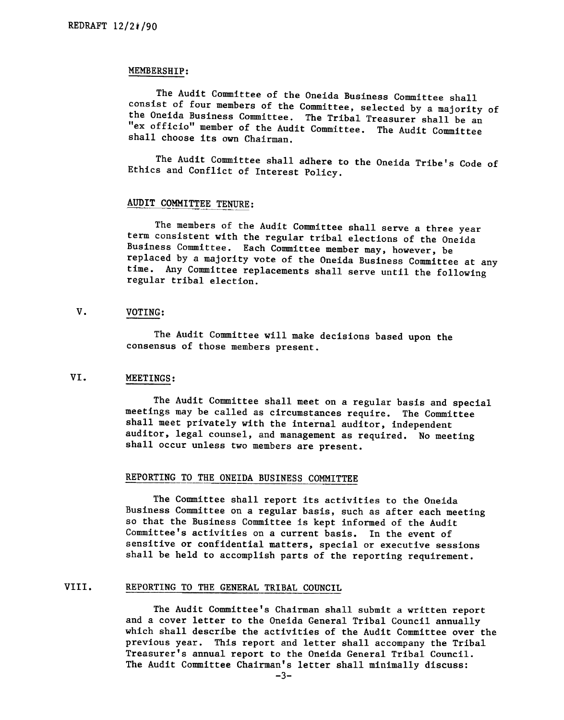### MEMBERSHIP:

The Audit Committee of the Oneida Business Committee shall consist of four members of the Committee, selected by a majority of the Oneida Business Committee. The Tribal Treasurer shall be an "ex officio" member of the Audit Committee. The Audit Committee shall choose its own Chairman.

The Audit Committee shall adhere to the Oneida Tribe's Code of Ethics and Conflict of Interest Policy.

## AUDIT COMMITTEE TENURE:

The members of the Audit Committee shall serve a three year term consistent with the regular tribal elections of the Oneida Business Committee. Each Committee member may, however, be replaced by a majority vote of the Oneida Business Committee at any time. Any Committee replacements shall serve until the following regular tribal election.

#### $V_{\bullet}$ VOTING:

The Audit Committee will make decisions based upon the consensus of those members present.

#### VI. MEETINGS:

The Audit Committee shall meet on a regular basis and special meetings may be called as circumstances require. The Committee shall meet privately with the internal auditor, independent auditor, legal counsel, and management as required. No meeting shall occur unless two members are present.

## REPORTING TO THE ONEIDA BUSINESS COMMITTEE

The Committee shall report its activities to the Oneida Business Committee on a regular basis, such as after each meeting so that the Business Committee is kept informed of the Audit Committee's activities on a current basis. In the event of sensitive or confidential matters, special or executive sessions shall be held to accomplish parts of the reporting requirement.

#### VIII. REPORTING TO THE GENERAL TRIBAL COUNCIL

The Audit Committee's Chairman shall submit a written report and a cover letter to the Oneida General Tribal Council annually which shall describe the activities of the Audit Committee over the previous year. This report and letter shall accompany the Tribal Treasurer's annual report to the Oneida General Tribal Council. The Audit Committee Chairman's letter shall minimally discuss: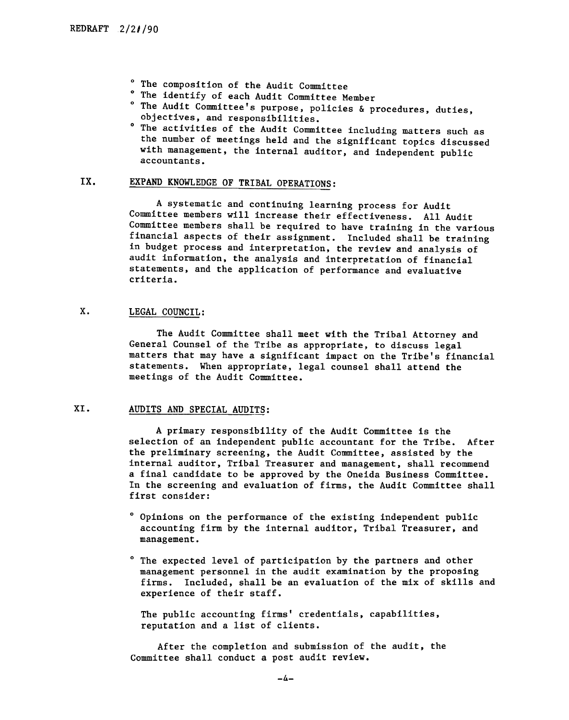- 0 The composition of the Audit Committee
- 0 The identify of each Audit Committee Member
- 0 The Audit Committee's purpose, policies & procedures, duties,
- objectives, and responsibilities.<br><sup>o</sup> The activities of the Audit Committee including matters such as the number of meetings held and the significant topics discussed with management, the internal auditor, and independent public accountants.

#### IX. EXPAND KNOWLEDGE OF TRIBAL OPERATIONS:

A systematic and continuing learning process for Audit Committee members will increase their effectiveness. All Audit Committee members shall be required to have training in the various financial aspects of their assignment. Included shall be training in budget process and interpretation, the review and analysis of audit information, the analysis and interpretation of financial statements, and the application of performance and evaluative criteria.

#### $X.$ LEGAL COUNCIL:

The Audit Committee shall meet with the Tribal Attorney and General Counsel of the Tribe as appropriate, to discuss legal matters that may have a significant impact on the Tribe's financial statements. When appropriate, legal counsel shall attend the meetings of the Audit Committee.

## XI. AUDITS AND SPECIAL AUDITS:

A primary responsibility of the Audit Committee is the selection of an independent public accountant for the Tribe. After the preliminary screening, the Audit Committee, assisted by the internal auditor, Tribal Treasurer and management, shall recommend a final candidate to be approved by the Oneida Business Committee. In the screening and evaluation of firms, the Audit Committee shall first consider:

- 0 Opinions on the performance of the existing independent public accounting firm by the internal auditor, Tribal Treasurer, and management.
- 0 The expected level of participation by the partners and other management personnel in the audit examination by the proposing firms. Included, shall be an evaluation of the mix of skills and experience of their staff.

The public accounting firms' credentials, capabilities, reputation and a list of clients.

After the completion and submission of the audit, the Committee shall conduct a post audit review.